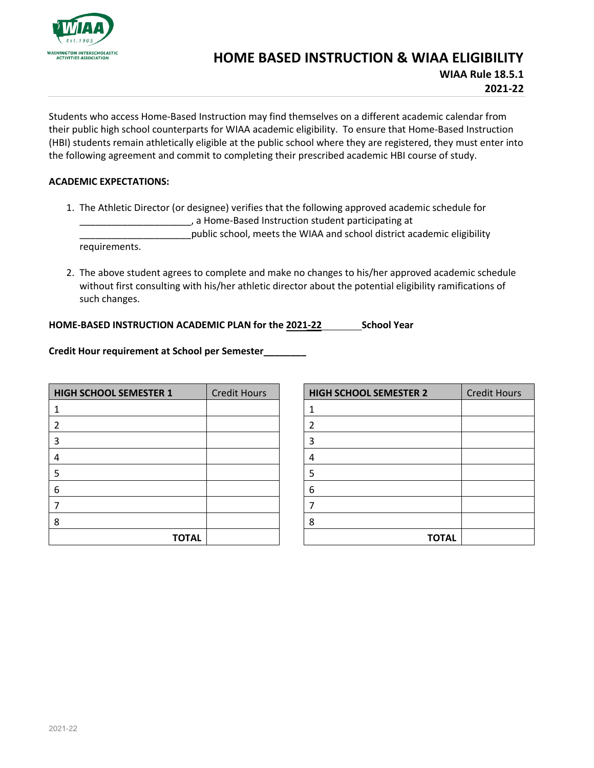

## **HOME BASED INSTRUCTION & WIAA ELIGIBILITY**

**WIAA Rule 18.5.1 2021-22**

Students who access Home-Based Instruction may find themselves on a different academic calendar from their public high school counterparts for WIAA academic eligibility. To ensure that Home-Based Instruction (HBI) students remain athletically eligible at the public school where they are registered, they must enter into the following agreement and commit to completing their prescribed academic HBI course of study.

## **ACADEMIC EXPECTATIONS:**

1. The Athletic Director (or designee) verifies that the following approved academic schedule for \_\_\_\_\_\_\_\_\_\_\_\_\_\_\_\_\_\_\_\_\_, a Home-Based Instruction student participating at

\_\_\_\_\_\_\_\_\_\_\_\_\_\_\_\_\_\_\_\_\_public school, meets the WIAA and school district academic eligibility requirements.

2. The above student agrees to complete and make no changes to his/her approved academic schedule without first consulting with his/her athletic director about the potential eligibility ramifications of such changes.

## **HOME-BASED INSTRUCTION ACADEMIC PLAN for the 2021-22 School Year**

**Credit Hour requirement at School per Semester\_\_\_\_\_\_\_\_** 

| <b>HIGH SCHOOL SEMESTER 1</b> | <b>Credit Hours</b> |
|-------------------------------|---------------------|
| 1                             |                     |
| $\overline{2}$                |                     |
| 3                             |                     |
| 4                             |                     |
| 5                             |                     |
| 6                             |                     |
| 7                             |                     |
| 8                             |                     |
| <b>TOTAL</b>                  |                     |

| <b>HIGH SCHOOL SEMESTER 2</b> | <b>Credit Hours</b> |
|-------------------------------|---------------------|
| 1                             |                     |
| 2                             |                     |
| 3                             |                     |
| 4                             |                     |
| 5                             |                     |
| 6                             |                     |
|                               |                     |
| 8                             |                     |
| <b>TOTAL</b>                  |                     |